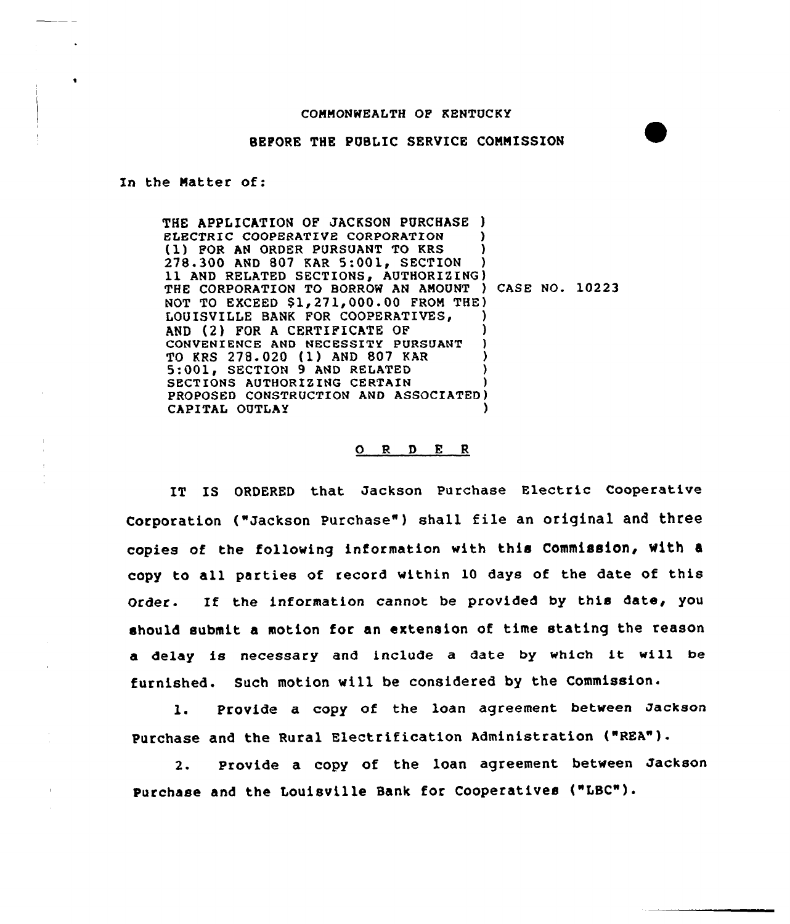## COMMONWEALTH QF KENTUCKY

## BEFORE THE PUBLIC SERVICE COMMISSION

In the Natter of:

THE APPLICATION OF JACKSON PURCHASE ) ELECTRIC COOPERATIVE CORPORATION (1) FOR AN ORDER PURSUANT TO KRS 278.300 AND 807 KAR 5:001, SECTION 11 AND RELATED SECTIONS, AUTHORIZING) THE CORPORATION TO BORROW AN AMOUNT ) CASE NO. 10223 NOT TO EXCEED  $$1,271,000.00$  FROM THE) LOUISVILLE BANK FOR COOPERATIVES, AND (2) FOR A CERTIFICATE OF CONVENIENCE AND NECESSITY PURSUANT TO KRS 278.020 (1) AND 807 KAR ) 5:001, SECTION <sup>9</sup> AND RELATED ) SECTIONS AUTHORIZING CERTAIN PROPOSED CONSTRUCTION AND ASSOCIATED) CAPITAL OUTLAY )

## 0 R <sup>D</sup> E <sup>R</sup>

IT IS ORDERED that Jackson Purchase Electric Cooperative Corporation ("Jackson Purchase") shall file an original and three copies of the following information with this Commission, With copy to all parties of record within 10 days of the date of this Order. If the information cannot be provided by this date, you should submit a motion for an extension of time stating the reason <sup>a</sup> delay is necessary and include <sup>a</sup> date by which it will be furnished. Such motion will be considered by the Commission.

l. provide <sup>a</sup> copy of the loan agreement between Jackson Purchase and the Rural Electrification Administration ("REA").

2. Provide a copy of the loan agreement between Jackson Purchase and the Louisville Bank for Cooperatives ("LBC").